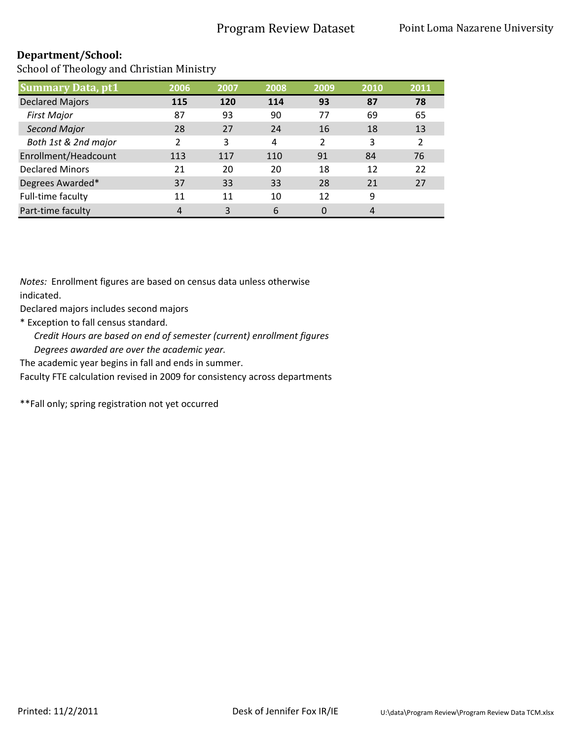School of Theology and Christian Ministry

| <b>Summary Data, pt1</b> | 2006 | 2007 | 2008 | 2009 | 2010 | 2011           |
|--------------------------|------|------|------|------|------|----------------|
| <b>Declared Majors</b>   | 115  | 120  | 114  | 93   | 87   | 78             |
| <b>First Major</b>       | 87   | 93   | 90   | 77   | 69   | 65             |
| <b>Second Major</b>      | 28   | 27   | 24   | 16   | 18   | 13             |
| Both 1st & 2nd major     | 2    | 3    | 4    | 2    | 3    | $\overline{2}$ |
| Enrollment/Headcount     | 113  | 117  | 110  | 91   | 84   | 76             |
| <b>Declared Minors</b>   | 21   | 20   | 20   | 18   | 12   | 22             |
| Degrees Awarded*         | 37   | 33   | 33   | 28   | 21   | 27             |
| Full-time faculty        | 11   | 11   | 10   | 12   | 9    |                |
| Part-time faculty        | 4    | ξ    | 6    | 0    | 4    |                |

*Notes:* Enrollment figures are based on census data unless otherwise indicated.

Declared majors includes second majors

\* Exception to fall census standard.

*Credit Hours are based on end of semester (current) enrollment figures Degrees awarded are over the academic year.* 

The academic year begins in fall and ends in summer.

Faculty FTE calculation revised in 2009 for consistency across departments

\*\*Fall only; spring registration not yet occurred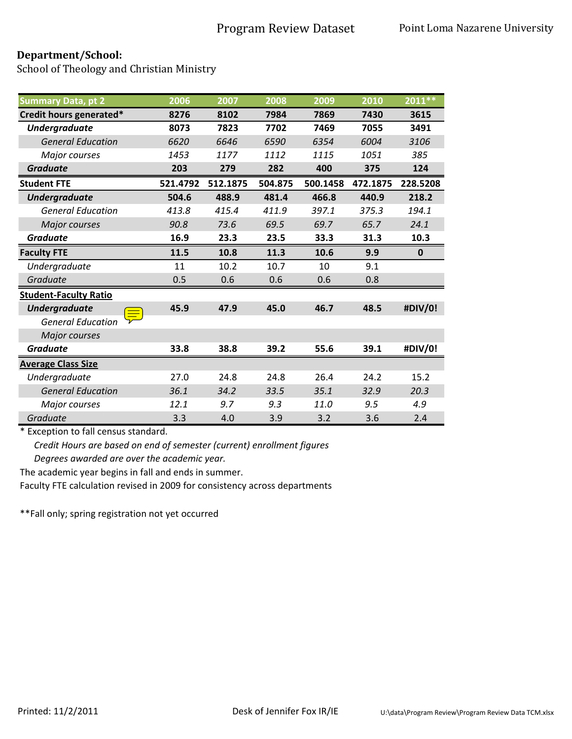School of Theology and Christian Ministry

| <b>Summary Data, pt 2</b>            | 2006     | 2007     | 2008    | 2009     | 2010     | 2011 **     |
|--------------------------------------|----------|----------|---------|----------|----------|-------------|
| Credit hours generated*              | 8276     | 8102     | 7984    | 7869     | 7430     | 3615        |
| <b>Undergraduate</b>                 | 8073     | 7823     | 7702    | 7469     | 7055     | 3491        |
| <b>General Education</b>             | 6620     | 6646     | 6590    | 6354     | 6004     | 3106        |
| Major courses                        | 1453     | 1177     | 1112    | 1115     | 1051     | 385         |
| <b>Graduate</b>                      | 203      | 279      | 282     | 400      | 375      | 124         |
| <b>Student FTE</b>                   | 521.4792 | 512.1875 | 504.875 | 500.1458 | 472.1875 | 228.5208    |
| <b>Undergraduate</b>                 | 504.6    | 488.9    | 481.4   | 466.8    | 440.9    | 218.2       |
| <b>General Education</b>             | 413.8    | 415.4    | 411.9   | 397.1    | 375.3    | 194.1       |
| Major courses                        | 90.8     | 73.6     | 69.5    | 69.7     | 65.7     | 24.1        |
| <b>Graduate</b>                      | 16.9     | 23.3     | 23.5    | 33.3     | 31.3     | 10.3        |
| <b>Faculty FTE</b>                   | 11.5     | 10.8     | 11.3    | 10.6     | 9.9      | $\mathbf 0$ |
| Undergraduate                        | 11       | 10.2     | 10.7    | 10       | 9.1      |             |
| Graduate                             | 0.5      | 0.6      | 0.6     | 0.6      | 0.8      |             |
| <b>Student-Faculty Ratio</b>         |          |          |         |          |          |             |
| <b>Undergraduate</b>                 | 45.9     | 47.9     | 45.0    | 46.7     | 48.5     | #DIV/0!     |
| $\equiv$<br><b>General Education</b> |          |          |         |          |          |             |
| Major courses                        |          |          |         |          |          |             |
| <b>Graduate</b>                      | 33.8     | 38.8     | 39.2    | 55.6     | 39.1     | #DIV/0!     |
| <b>Average Class Size</b>            |          |          |         |          |          |             |
| Undergraduate                        | 27.0     | 24.8     | 24.8    | 26.4     | 24.2     | 15.2        |
| <b>General Education</b>             | 36.1     | 34.2     | 33.5    | 35.1     | 32.9     | 20.3        |
| Major courses                        | 12.1     | 9.7      | 9.3     | 11.0     | 9.5      | 4.9         |
| Graduate                             | 3.3      | 4.0      | 3.9     | 3.2      | 3.6      | 2.4         |

\* Exception to fall census standard.

*Credit Hours are based on end of semester (current) enrollment figures Degrees awarded are over the academic year.* 

The academic year begins in fall and ends in summer.

Faculty FTE calculation revised in 2009 for consistency across departments

\*\*Fall only; spring registration not yet occurred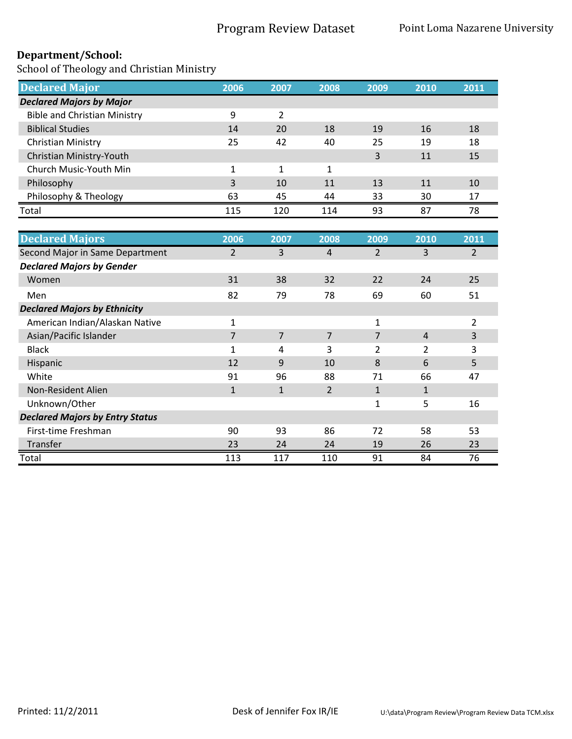| <b>Declared Major</b>               | 2006 | 2007 | 2008 | 2009 | 2010 | 2011 |
|-------------------------------------|------|------|------|------|------|------|
| <b>Declared Majors by Major</b>     |      |      |      |      |      |      |
| <b>Bible and Christian Ministry</b> | 9    | 2    |      |      |      |      |
| <b>Biblical Studies</b>             | 14   | 20   | 18   | 19   | 16   | 18   |
| Christian Ministry                  | 25   | 42   | 40   | 25   | 19   | 18   |
| Christian Ministry-Youth            |      |      |      | 3    | 11   | 15   |
| Church Music-Youth Min              | 1    | 1    | 1    |      |      |      |
| Philosophy                          | 3    | 10   | 11   | 13   | 11   | 10   |
| Philosophy & Theology               | 63   | 45   | 44   | 33   | 30   | 17   |
| Total                               | 115  | 120  | 114  | 93   | 87   | 78   |

| <b>Declared Majors</b>                 | 2006         | 2007           | 2008           | 2009           | 2010           | 2011           |
|----------------------------------------|--------------|----------------|----------------|----------------|----------------|----------------|
| Second Major in Same Department        | 2            | 3              | 4              | $\overline{2}$ | 3              | $\overline{2}$ |
| <b>Declared Majors by Gender</b>       |              |                |                |                |                |                |
| Women                                  | 31           | 38             | 32             | 22             | 24             | 25             |
| Men                                    | 82           | 79             | 78             | 69             | 60             | 51             |
| <b>Declared Majors by Ethnicity</b>    |              |                |                |                |                |                |
| American Indian/Alaskan Native         | 1            |                |                | 1              |                | $\overline{2}$ |
| Asian/Pacific Islander                 | 7            | $\overline{7}$ | $\overline{7}$ | 7              | $\overline{4}$ | 3              |
| <b>Black</b>                           | 1            | 4              | 3              | $\overline{2}$ | 2              | 3              |
| Hispanic                               | 12           | 9              | 10             | 8              | 6              | 5              |
| White                                  | 91           | 96             | 88             | 71             | 66             | 47             |
| Non-Resident Alien                     | $\mathbf{1}$ | $\mathbf{1}$   | $\overline{2}$ | $\mathbf{1}$   | $\mathbf{1}$   |                |
| Unknown/Other                          |              |                |                | $\mathbf{1}$   | 5              | 16             |
| <b>Declared Majors by Entry Status</b> |              |                |                |                |                |                |
| First-time Freshman                    | 90           | 93             | 86             | 72             | 58             | 53             |
| Transfer                               | 23           | 24             | 24             | 19             | 26             | 23             |
| Total                                  | 113          | 117            | 110            | 91             | 84             | 76             |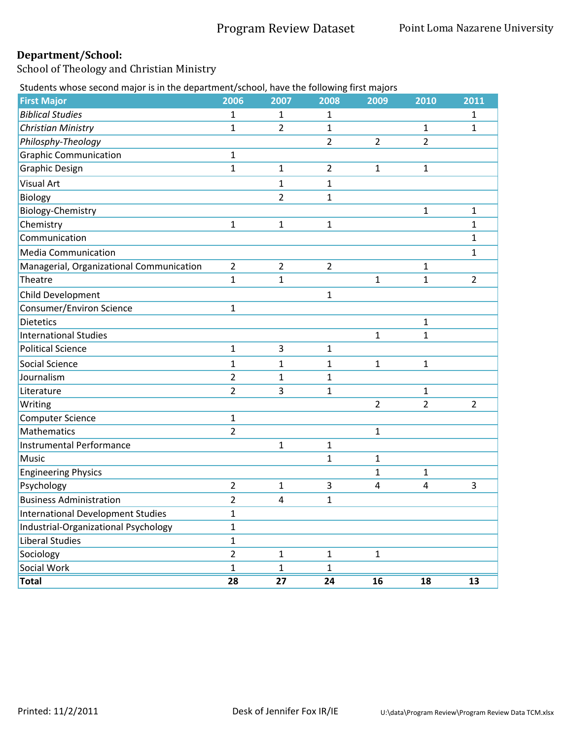School of Theology and Christian Ministry

Students whose second major is in the department/school, have the following first majors

| addition. These second major is in the department, sonooi, nave the ronowing mot majors<br><b>First Major</b> | 2006           | 2007                    | 2008           | 2009           | 2010         | 2011           |
|---------------------------------------------------------------------------------------------------------------|----------------|-------------------------|----------------|----------------|--------------|----------------|
| <b>Biblical Studies</b>                                                                                       | 1              | 1                       | 1              |                |              | 1              |
| <b>Christian Ministry</b>                                                                                     | $\mathbf{1}$   | $\overline{2}$          | $\mathbf{1}$   |                | 1            | 1              |
| Philosphy-Theology                                                                                            |                |                         | $\overline{2}$ | $\overline{2}$ | 2            |                |
| <b>Graphic Communication</b>                                                                                  | $\mathbf{1}$   |                         |                |                |              |                |
| <b>Graphic Design</b>                                                                                         | $\mathbf{1}$   | $\mathbf{1}$            | $\overline{2}$ | $\mathbf{1}$   | $\mathbf{1}$ |                |
| <b>Visual Art</b>                                                                                             |                | $\mathbf{1}$            | 1              |                |              |                |
| Biology                                                                                                       |                | $\overline{2}$          | 1              |                |              |                |
| Biology-Chemistry                                                                                             |                |                         |                |                | $\mathbf{1}$ | 1              |
| Chemistry                                                                                                     | $\mathbf{1}$   | $\mathbf{1}$            | $\mathbf{1}$   |                |              | 1              |
| Communication                                                                                                 |                |                         |                |                |              | 1              |
| <b>Media Communication</b>                                                                                    |                |                         |                |                |              | 1              |
| Managerial, Organizational Communication                                                                      | $\overline{2}$ | $\overline{2}$          | $\overline{2}$ |                | 1            |                |
| Theatre                                                                                                       | $\mathbf{1}$   | $\mathbf{1}$            |                | 1              | $\mathbf{1}$ | $\overline{2}$ |
| Child Development                                                                                             |                |                         | $\mathbf{1}$   |                |              |                |
| <b>Consumer/Environ Science</b>                                                                               | $\mathbf{1}$   |                         |                |                |              |                |
| <b>Dietetics</b>                                                                                              |                |                         |                |                | 1            |                |
| <b>International Studies</b>                                                                                  |                |                         |                | 1              | 1            |                |
| <b>Political Science</b>                                                                                      | $\mathbf{1}$   | 3                       | 1              |                |              |                |
| Social Science                                                                                                | $\mathbf{1}$   | $\mathbf{1}$            | $\mathbf{1}$   | $\mathbf{1}$   | 1            |                |
| Journalism                                                                                                    | $\overline{2}$ | 1                       | 1              |                |              |                |
| Literature                                                                                                    | 2              | 3                       | 1              |                | 1            |                |
| Writing                                                                                                       |                |                         |                | $\overline{2}$ | 2            | 2              |
| <b>Computer Science</b>                                                                                       | $\mathbf{1}$   |                         |                |                |              |                |
| Mathematics                                                                                                   | $\overline{2}$ |                         |                | 1              |              |                |
| <b>Instrumental Performance</b>                                                                               |                | $\mathbf{1}$            | 1              |                |              |                |
| Music                                                                                                         |                |                         | $\mathbf{1}$   | 1              |              |                |
| <b>Engineering Physics</b>                                                                                    |                |                         |                | 1              | 1            |                |
| Psychology                                                                                                    | $\overline{2}$ | $\mathbf{1}$            | 3              | 4              | 4            | 3              |
| <b>Business Administration</b>                                                                                | 2              | $\overline{\mathbf{4}}$ | $\mathbf{1}$   |                |              |                |
| <b>International Development Studies</b>                                                                      | $\mathbf{1}$   |                         |                |                |              |                |
| Industrial-Organizational Psychology                                                                          | $\mathbf{1}$   |                         |                |                |              |                |
| <b>Liberal Studies</b>                                                                                        | $\mathbf{1}$   |                         |                |                |              |                |
| Sociology                                                                                                     | $\overline{2}$ | $\mathbf{1}$            | $\mathbf{1}$   | $\mathbf 1$    |              |                |
| Social Work                                                                                                   | $\mathbf{1}$   | $\mathbf{1}$            | $\mathbf{1}$   |                |              |                |
| <b>Total</b>                                                                                                  | 28             | 27                      | 24             | 16             | 18           | 13             |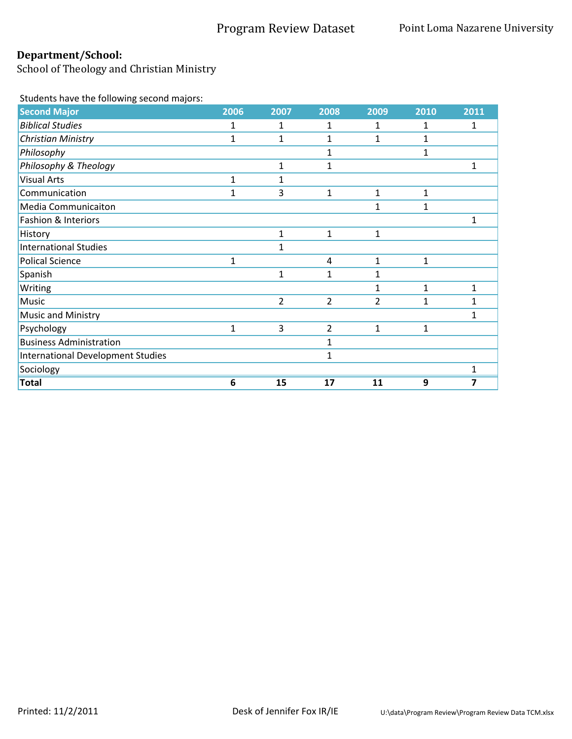School of Theology and Christian Ministry

Students have the following second majors:

| <b>Second Major</b>                      | 2006         | 2007           | 2008           | 2009         | 2010         | 2011         |
|------------------------------------------|--------------|----------------|----------------|--------------|--------------|--------------|
| <b>Biblical Studies</b>                  | 1            | 1              | 1              | 1            | 1            | 1            |
| <b>Christian Ministry</b>                | $\mathbf{1}$ | $\mathbf{1}$   | 1              | $\mathbf{1}$ | $\mathbf{1}$ |              |
| Philosophy                               |              |                | 1              |              | 1            |              |
| Philosophy & Theology                    |              | 1              | $\mathbf 1$    |              |              | 1            |
| <b>Visual Arts</b>                       | 1            | 1              |                |              |              |              |
| Communication                            | 1            | 3              | $\mathbf{1}$   | $\mathbf{1}$ | $\mathbf{1}$ |              |
| <b>Media Communicaiton</b>               |              |                |                | 1            | $\mathbf{1}$ |              |
| Fashion & Interiors                      |              |                |                |              |              | 1            |
| History                                  |              | 1              | 1              | 1            |              |              |
| <b>International Studies</b>             |              | 1              |                |              |              |              |
| <b>Polical Science</b>                   | $\mathbf{1}$ |                | 4              | 1            | $\mathbf{1}$ |              |
| Spanish                                  |              | 1              | 1              | 1            |              |              |
| Writing                                  |              |                |                | $\mathbf{1}$ | $\mathbf{1}$ | $\mathbf{1}$ |
| Music                                    |              | $\overline{2}$ | $\overline{2}$ | 2            | $\mathbf{1}$ | 1            |
| Music and Ministry                       |              |                |                |              |              | 1            |
| Psychology                               | $\mathbf{1}$ | 3              | $\overline{2}$ | $\mathbf{1}$ | 1            |              |
| <b>Business Administration</b>           |              |                | 1              |              |              |              |
| <b>International Development Studies</b> |              |                | 1              |              |              |              |
| Sociology                                |              |                |                |              |              | 1            |
| <b>Total</b>                             | 6            | 15             | 17             | 11           | 9            | 7            |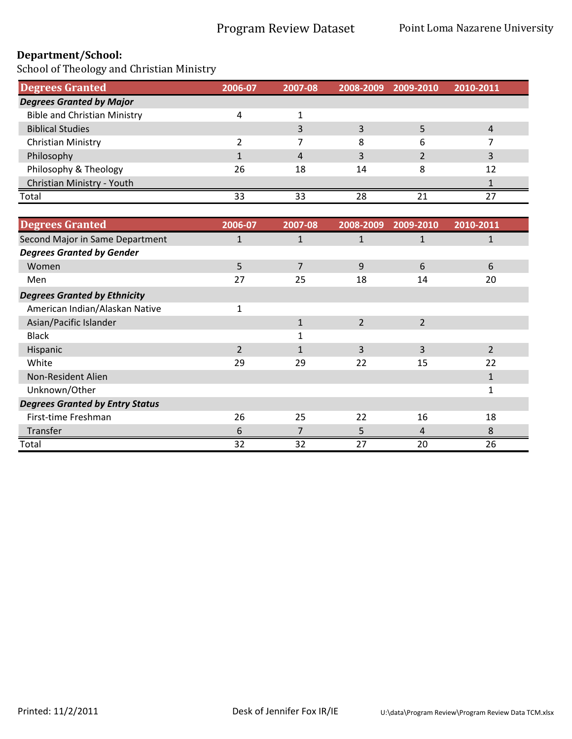| <b>Degrees Granted</b>              | 2006-07 | 2007-08 | 2008-2009 | 2009-2010 | 2010-2011 |
|-------------------------------------|---------|---------|-----------|-----------|-----------|
| <b>Degrees Granted by Major</b>     |         |         |           |           |           |
| <b>Bible and Christian Ministry</b> | 4       |         |           |           |           |
| <b>Biblical Studies</b>             |         |         |           |           |           |
| Christian Ministry                  |         |         | 8         | h         |           |
| Philosophy                          |         |         |           |           |           |
| Philosophy & Theology               | 26      | 18      | 14        |           | 12        |
| Christian Ministry - Youth          |         |         |           |           |           |
| Total                               | 33      | 33      | 28        |           |           |

| <b>Degrees Granted</b>                 | 2006-07        | 2007-08 | 2008-2009      | 2009-2010      | 2010-2011 |
|----------------------------------------|----------------|---------|----------------|----------------|-----------|
| Second Major in Same Department        | $\mathbf{1}$   | 1       | $\mathbf{1}$   | 1              | 1         |
| <b>Degrees Granted by Gender</b>       |                |         |                |                |           |
| Women                                  | 5              | 7       | 9              | 6              | 6         |
| Men                                    | 27             | 25      | 18             | 14             | 20        |
| <b>Degrees Granted by Ethnicity</b>    |                |         |                |                |           |
| American Indian/Alaskan Native         | 1              |         |                |                |           |
| Asian/Pacific Islander                 |                | 1       | $\overline{2}$ | $\overline{2}$ |           |
| <b>Black</b>                           |                |         |                |                |           |
| <b>Hispanic</b>                        | $\overline{2}$ | 1       | 3              | 3              | 2         |
| White                                  | 29             | 29      | 22             | 15             | 22        |
| Non-Resident Alien                     |                |         |                |                |           |
| Unknown/Other                          |                |         |                |                | 1         |
| <b>Degrees Granted by Entry Status</b> |                |         |                |                |           |
| First-time Freshman                    | 26             | 25      | 22             | 16             | 18        |
| Transfer                               | 6              |         | 5              | 4              | 8         |
| Total                                  | 32             | 32      | 27             | 20             | 26        |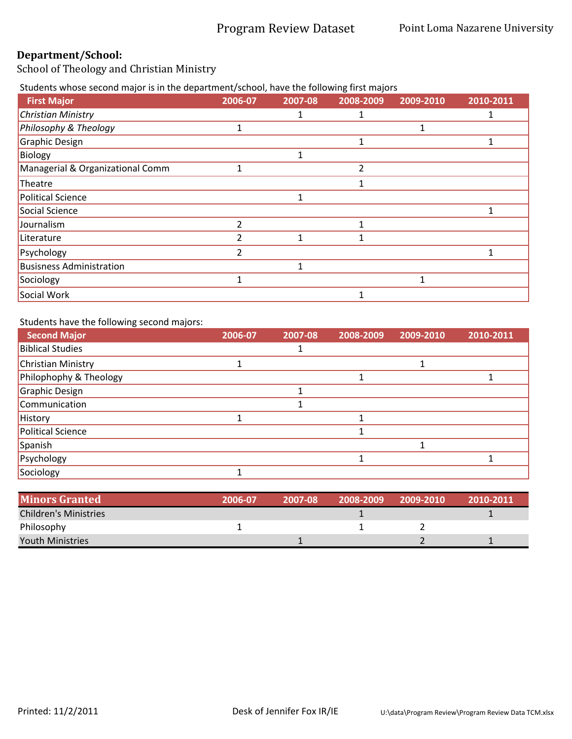School of Theology and Christian Ministry

Students whose second major is in the department/school, have the following first majors

| <b>First Major</b>               | 2006-07 | 2007-08 | 2008-2009 | 2009-2010 | 2010-2011 |
|----------------------------------|---------|---------|-----------|-----------|-----------|
| <b>Christian Ministry</b>        |         |         |           |           |           |
| Philosophy & Theology            |         |         |           |           |           |
| Graphic Design                   |         |         |           |           |           |
| Biology                          |         |         |           |           |           |
| Managerial & Organizational Comm |         |         |           |           |           |
| Theatre                          |         |         |           |           |           |
| <b>Political Science</b>         |         |         |           |           |           |
| Social Science                   |         |         |           |           |           |
| Journalism                       | 2       |         |           |           |           |
| Literature                       | 2       |         |           |           |           |
| Psychology                       | 2       |         |           |           |           |
| <b>Busisness Administration</b>  |         |         |           |           |           |
| Sociology                        |         |         |           |           |           |
| Social Work                      |         |         |           |           |           |

Students have the following second majors:

| <b>Second Major</b>       | 2006-07 | 2007-08 | 2008-2009 | 2009-2010 | 2010-2011 |
|---------------------------|---------|---------|-----------|-----------|-----------|
| <b>Biblical Studies</b>   |         |         |           |           |           |
| <b>Christian Ministry</b> |         |         |           |           |           |
| Philophophy & Theology    |         |         |           |           |           |
| Graphic Design            |         |         |           |           |           |
| Communication             |         |         |           |           |           |
| History                   |         |         |           |           |           |
| Political Science         |         |         |           |           |           |
| Spanish                   |         |         |           |           |           |
| Psychology                |         |         |           |           |           |
| Sociology                 |         |         |           |           |           |

| <b>Minors Granted</b>        | 2006-07 | 2007-08 | 2008-2009 | 2009-2010 | 2010-2011 |
|------------------------------|---------|---------|-----------|-----------|-----------|
| <b>Children's Ministries</b> |         |         |           |           |           |
| Philosophy                   |         |         |           |           |           |
| <b>Youth Ministries</b>      |         |         |           |           |           |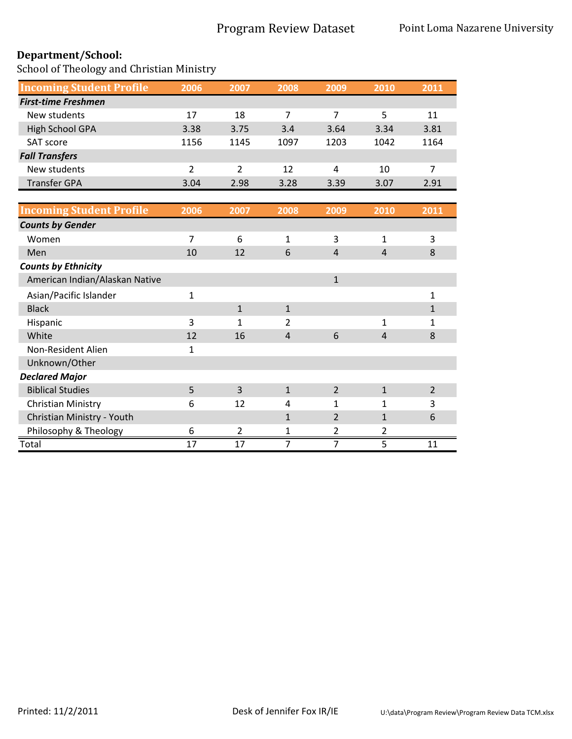| <b>Incoming Student Profile</b> | 2006 | 2007 | 2008 | 2009 | 2010 | 2011 |
|---------------------------------|------|------|------|------|------|------|
| <b>First-time Freshmen</b>      |      |      |      |      |      |      |
| New students                    | 17   | 18   | 7    | 7    | 5    | 11   |
| High School GPA                 | 3.38 | 3.75 | 3.4  | 3.64 | 3.34 | 3.81 |
| SAT score                       | 1156 | 1145 | 1097 | 1203 | 1042 | 1164 |
| <b>Fall Transfers</b>           |      |      |      |      |      |      |
| New students                    | 2    | 2    | 12   | 4    | 10   |      |
| <b>Transfer GPA</b>             | 3.04 | 2.98 | 3.28 | 3.39 | 3.07 | 2.91 |

| <b>Incoming Student Profile</b> | 2006 | 2007         | 2008           | 2009           | 2010           | 2011           |
|---------------------------------|------|--------------|----------------|----------------|----------------|----------------|
| <b>Counts by Gender</b>         |      |              |                |                |                |                |
| Women                           | 7    | 6            | $\mathbf{1}$   | 3              | 1              | 3              |
| Men                             | 10   | 12           | 6              | 4              | 4              | 8              |
| <b>Counts by Ethnicity</b>      |      |              |                |                |                |                |
| American Indian/Alaskan Native  |      |              |                | $\mathbf{1}$   |                |                |
| Asian/Pacific Islander          | 1    |              |                |                |                | 1              |
| <b>Black</b>                    |      | $\mathbf{1}$ | $\mathbf{1}$   |                |                | 1              |
| Hispanic                        | 3    | 1            | 2              |                | 1              |                |
| White                           | 12   | 16           | $\overline{4}$ | 6              | $\overline{4}$ | 8              |
| Non-Resident Alien              | 1    |              |                |                |                |                |
| Unknown/Other                   |      |              |                |                |                |                |
| <b>Declared Major</b>           |      |              |                |                |                |                |
| <b>Biblical Studies</b>         | 5    | 3            | $\mathbf{1}$   | $\overline{2}$ | $\mathbf{1}$   | $\overline{2}$ |
| Christian Ministry              | 6    | 12           | 4              | $\mathbf{1}$   | 1              | 3              |
| Christian Ministry - Youth      |      |              | 1              | $\overline{2}$ | $\mathbf{1}$   | 6              |
| Philosophy & Theology           | 6    | 2            |                | 2              | 2              |                |
| Total                           | 17   | 17           | 7              | 7              | 5              | 11             |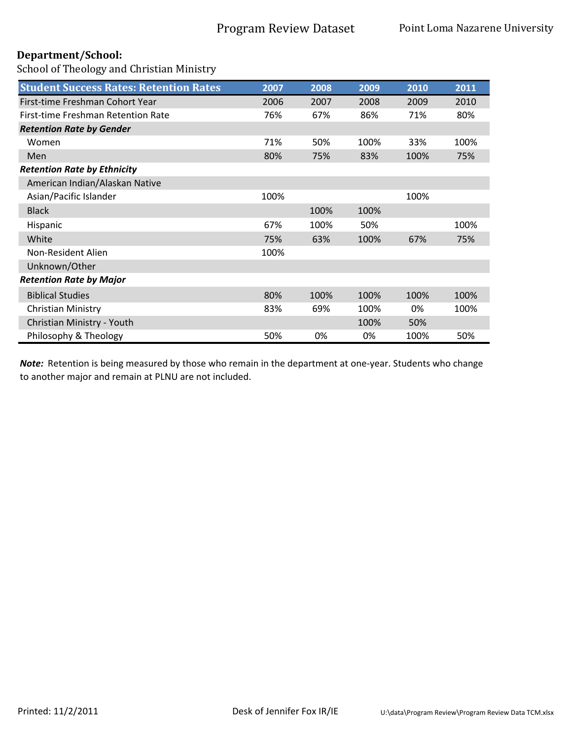School of Theology and Christian Ministry

| <b>Student Success Rates: Retention Rates</b> | 2007 | 2008 | 2009 | 2010 | 2011 |
|-----------------------------------------------|------|------|------|------|------|
| First-time Freshman Cohort Year               | 2006 | 2007 | 2008 | 2009 | 2010 |
| First-time Freshman Retention Rate            | 76%  | 67%  | 86%  | 71%  | 80%  |
| <b>Retention Rate by Gender</b>               |      |      |      |      |      |
| Women                                         | 71%  | 50%  | 100% | 33%  | 100% |
| <b>Men</b>                                    | 80%  | 75%  | 83%  | 100% | 75%  |
| <b>Retention Rate by Ethnicity</b>            |      |      |      |      |      |
| American Indian/Alaskan Native                |      |      |      |      |      |
| Asian/Pacific Islander                        | 100% |      |      | 100% |      |
| <b>Black</b>                                  |      | 100% | 100% |      |      |
| Hispanic                                      | 67%  | 100% | 50%  |      | 100% |
| White                                         | 75%  | 63%  | 100% | 67%  | 75%  |
| Non-Resident Alien                            | 100% |      |      |      |      |
| Unknown/Other                                 |      |      |      |      |      |
| <b>Retention Rate by Major</b>                |      |      |      |      |      |
| <b>Biblical Studies</b>                       | 80%  | 100% | 100% | 100% | 100% |
| Christian Ministry                            | 83%  | 69%  | 100% | 0%   | 100% |
| Christian Ministry - Youth                    |      |      | 100% | 50%  |      |
| Philosophy & Theology                         | 50%  | 0%   | 0%   | 100% | 50%  |

*Note:* Retention is being measured by those who remain in the department at one-year. Students who change to another major and remain at PLNU are not included.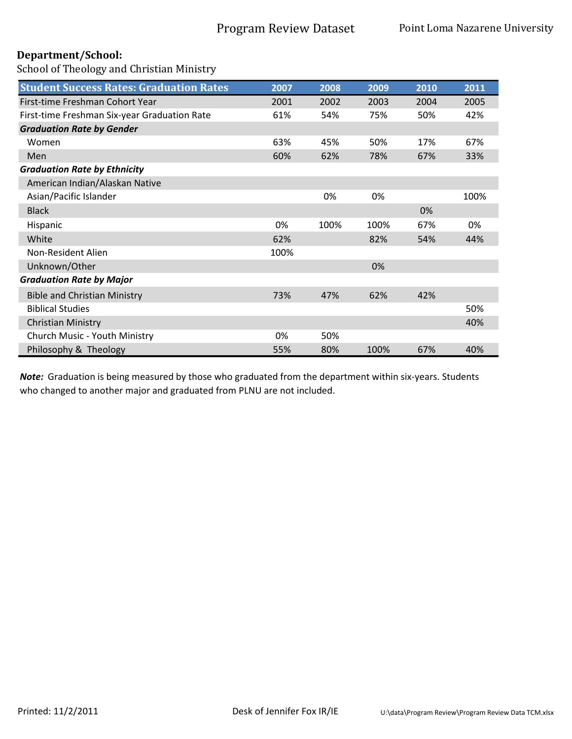School of Theology and Christian Ministry

| <b>Student Success Rates: Graduation Rates</b> | 2007 | 2008 | 2009 | 2010 | 2011 |
|------------------------------------------------|------|------|------|------|------|
| First-time Freshman Cohort Year                | 2001 | 2002 | 2003 | 2004 | 2005 |
| First-time Freshman Six-year Graduation Rate   | 61%  | 54%  | 75%  | 50%  | 42%  |
| <b>Graduation Rate by Gender</b>               |      |      |      |      |      |
| Women                                          | 63%  | 45%  | 50%  | 17%  | 67%  |
| Men                                            | 60%  | 62%  | 78%  | 67%  | 33%  |
| <b>Graduation Rate by Ethnicity</b>            |      |      |      |      |      |
| American Indian/Alaskan Native                 |      |      |      |      |      |
| Asian/Pacific Islander                         |      | 0%   | 0%   |      | 100% |
| <b>Black</b>                                   |      |      |      | 0%   |      |
| Hispanic                                       | 0%   | 100% | 100% | 67%  | 0%   |
| White                                          | 62%  |      | 82%  | 54%  | 44%  |
| Non-Resident Alien                             | 100% |      |      |      |      |
| Unknown/Other                                  |      |      | 0%   |      |      |
| <b>Graduation Rate by Major</b>                |      |      |      |      |      |
| <b>Bible and Christian Ministry</b>            | 73%  | 47%  | 62%  | 42%  |      |
| <b>Biblical Studies</b>                        |      |      |      |      | 50%  |
| <b>Christian Ministry</b>                      |      |      |      |      | 40%  |
| Church Music - Youth Ministry                  | 0%   | 50%  |      |      |      |
| Philosophy & Theology                          | 55%  | 80%  | 100% | 67%  | 40%  |

*Note:* Graduation is being measured by those who graduated from the department within six-years. Students who changed to another major and graduated from PLNU are not included.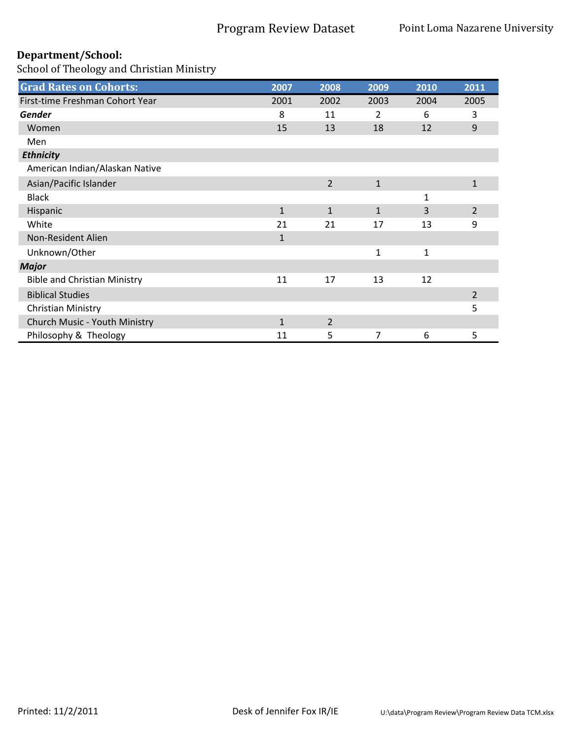| <b>Grad Rates on Cohorts:</b>       | 2007         | 2008           | 2009         | 2010         | 2011           |
|-------------------------------------|--------------|----------------|--------------|--------------|----------------|
| First-time Freshman Cohort Year     | 2001         | 2002           | 2003         | 2004         | 2005           |
| <b>Gender</b>                       | 8            | 11             | 2            | 6            | 3              |
| Women                               | 15           | 13             | 18           | 12           | 9              |
| Men                                 |              |                |              |              |                |
| <b>Ethnicity</b>                    |              |                |              |              |                |
| American Indian/Alaskan Native      |              |                |              |              |                |
| Asian/Pacific Islander              |              | 2              | $\mathbf{1}$ |              | $\mathbf{1}$   |
| <b>Black</b>                        |              |                |              | 1            |                |
| Hispanic                            | $\mathbf{1}$ | $\mathbf{1}$   | $\mathbf{1}$ | 3            | $\overline{2}$ |
| White                               | 21           | 21             | 17           | 13           | 9              |
| Non-Resident Alien                  | $\mathbf{1}$ |                |              |              |                |
| Unknown/Other                       |              |                | 1            | $\mathbf{1}$ |                |
| <b>Major</b>                        |              |                |              |              |                |
| <b>Bible and Christian Ministry</b> | 11           | 17             | 13           | 12           |                |
| <b>Biblical Studies</b>             |              |                |              |              | 2              |
| Christian Ministry                  |              |                |              |              | 5              |
| Church Music - Youth Ministry       | $\mathbf{1}$ | $\overline{2}$ |              |              |                |
| Philosophy & Theology               | 11           | 5              | 7            | 6            | 5              |